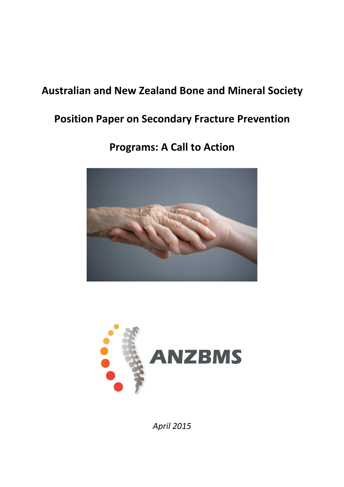# **Australian and New Zealand Bone and Mineral Society**

# **Position Paper on Secondary Fracture Prevention**

# **Programs: A Call to Action**





*April 2015*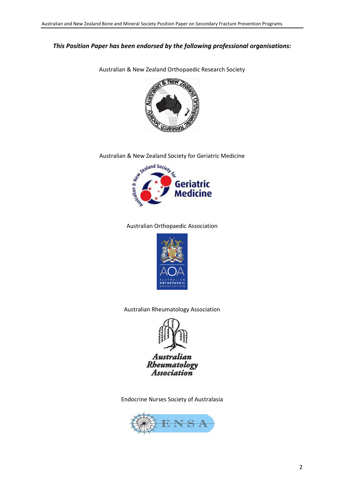# *This Position Paper has been endorsed by the following professional organisations:*



Australian & New Zealand Orthopaedic Research Society

#### Australian & New Zealand Society for Geriatric Medicine



#### Australian Orthopaedic Association



### Australian Rheumatology Association



Endocrine Nurses Society of Australasia

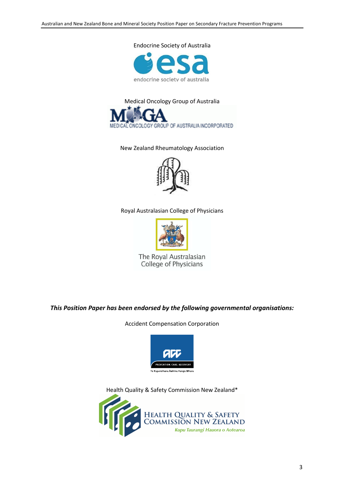Endocrine Society of Australia





New Zealand Rheumatology Association



Royal Australasian College of Physicians



The Royal Australasian College of Physicians

*This Position Paper has been endorsed by the following governmental organisations:* 

Accident Compensation Corporation



Health Quality & Safety Commission New Zealand\*

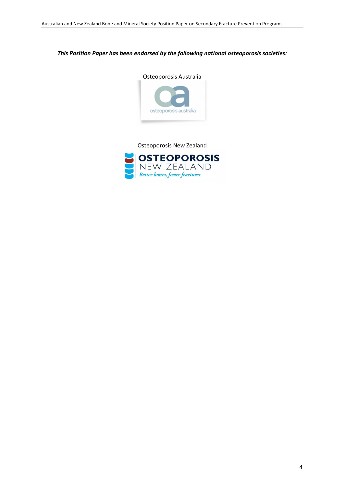### *This Position Paper has been endorsed by the following national osteoporosis societies:*



Osteoporosis New Zealand

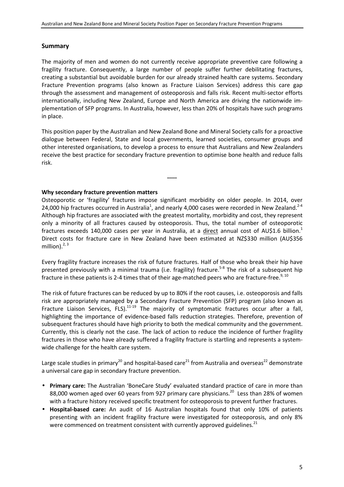# **Summary**

The majority of men and women do not currently receive appropriate preventive care following a fragility fracture. Consequently, a large number of people suffer further debilitating fractures, creating a substantial but avoidable burden for our already strained health care systems. Secondary Fracture Prevention programs (also known as Fracture Liaison Services) address this care gap through the assessment and management of osteoporosis and falls risk. Recent multi-sector efforts internationally, including New Zealand, Europe and North America are driving the nationwide implementation of SFP programs. In Australia, however, less than 20% of hospitals have such programs in place.

This position paper by the Australian and New Zealand Bone and Mineral Society calls for a proactive dialogue between Federal, State and local governments, learned societies, consumer groups and other interested organisations, to develop a process to ensure that Australians and New Zealanders receive the best practice for secondary fracture prevention to optimise bone health and reduce falls risk.

**-----** 

# **Why secondary fracture prevention matters**

Osteoporotic or 'fragility' fractures impose significant morbidity on older people. In 2014, over 24,000 hip fractures occurred in Australia<sup>1</sup>, and nearly 4,000 cases were recorded in New Zealand.<sup>2-4</sup> Although hip fractures are associated with the greatest mortality, morbidity and cost, they represent only a minority of all fractures caused by osteoporosis. Thus, the total number of osteoporotic fractures exceeds 140,000 cases per year in Australia, at a direct annual cost of AU\$1.6 billion.<sup>1</sup> Direct costs for fracture care in New Zealand have been estimated at NZ\$330 million (AU\$356 million). $^{2, 3}$ 

Every fragility fracture increases the risk of future fractures. Half of those who break their hip have presented previously with a minimal trauma (i.e. fragility) fracture.<sup>5-8</sup> The risk of a subsequent hip fracture in these patients is 2-4 times that of their age-matched peers who are fracture-free. $^{9,10}$ 

The risk of future fractures can be reduced by up to 80% if the root causes, i.e. osteoporosis and falls risk are appropriately managed by a Secondary Fracture Prevention (SFP) program (also known as Fracture Liaison Services, FLS).<sup>11-19</sup> The majority of symptomatic fractures occur after a fall, highlighting the importance of evidence-based falls reduction strategies. Therefore, prevention of subsequent fractures should have high priority to both the medical community and the government. Currently, this is clearly not the case. The lack of action to reduce the incidence of further fragility fractures in those who have already suffered a fragility fracture is startling and represents a systemwide challenge for the health care system.

Large scale studies in primary<sup>20</sup> and hospital-based care<sup>21</sup> from Australia and overseas<sup>22</sup> demonstrate a universal care gap in secondary fracture prevention.

- **Primary care:** The Australian 'BoneCare Study' evaluated standard practice of care in more than 88,000 women aged over 60 years from 927 primary care physicians.<sup>20</sup> Less than 28% of women with a fracture history received specific treatment for osteoporosis to prevent further fractures.
- **Hospital-based care:** An audit of 16 Australian hospitals found that only 10% of patients presenting with an incident fragility fracture were investigated for osteoporosis, and only 8% were commenced on treatment consistent with currently approved guidelines.<sup>21</sup>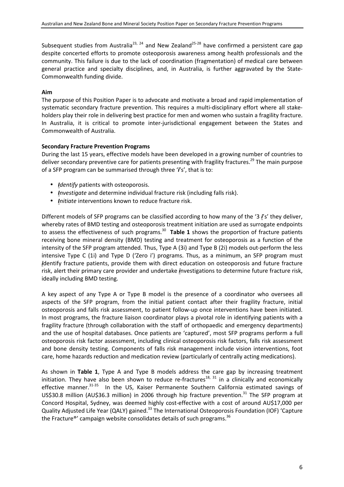Subsequent studies from Australia<sup>23, 24</sup> and New Zealand<sup>25-28</sup> have confirmed a persistent care gap despite concerted efforts to promote osteoporosis awareness among health professionals and the community. This failure is due to the lack of coordination (fragmentation) of medical care between general practice and specialty disciplines, and, in Australia, is further aggravated by the State-Commonwealth funding divide.

# **Aim**

The purpose of this Position Paper is to advocate and motivate a broad and rapid implementation of systematic secondary fracture prevention. This requires a multi-disciplinary effort where all stakeholders play their role in delivering best practice for men and women who sustain a fragility fracture. In Australia, it is critical to promote inter-jurisdictional engagement between the States and Commonwealth of Australia.

# **Secondary Fracture Prevention Programs**

During the last 15 years, effective models have been developed in a growing number of countries to deliver secondary preventive care for patients presenting with fragility fractures.<sup>29</sup> The main purpose of a SFP program can be summarised through three '*i*'s', that is to:

- *Identify* patients with osteoporosis.
- *Investigate* and determine individual fracture risk (including falls risk).
- *Initiate* interventions known to reduce fracture risk.

Different models of SFP programs can be classified according to how many of the '3 *i*'s' they deliver, whereby rates of BMD testing and osteoporosis treatment initiation are used as surrogate endpoints to assess the effectiveness of such programs.<sup>30</sup> Table 1 shows the proportion of fracture patients receiving bone mineral density (BMD) testing and treatment for osteoporosis as a function of the intensity of the SFP program attended. Thus, Type A (3i) and Type B (2i) models out-perform the less intensive Type C (1i) and Type D ('Zero i') programs. Thus, as a minimum, an SFP program must *i*dentify fracture patients, provide them with direct education on osteoporosis and future fracture risk, alert their primary care provider and undertake *i*nvestigations to determine future fracture risk, ideally including BMD testing.

A key aspect of any Type A or Type B model is the presence of a coordinator who oversees all aspects of the SFP program, from the initial patient contact after their fragility fracture, initial osteoporosis and falls risk assessment, to patient follow-up once interventions have been initiated. In most programs, the fracture liaison coordinator plays a pivotal role in identifying patients with a fragility fracture (through collaboration with the staff of orthopaedic and emergency departments) and the use of hospital databases. Once patients are 'captured', most SFP programs perform a full osteoporosis risk factor assessment, including clinical osteoporosis risk factors, falls risk assessment and bone density testing. Components of falls risk management include vision interventions, foot care, home hazards reduction and medication review (particularly of centrally acting medications).

As shown in **Table 1**, Type A and Type B models address the care gap by increasing treatment initiation. They have also been shown to reduce re-fractures<sup>18, 31</sup> in a clinically and economically effective manner.<sup>31-35</sup> In the US, Kaiser Permanente Southern California estimated savings of US\$30.8 million (AU\$36.3 million) in 2006 through hip fracture prevention.<sup>31</sup> The SFP program at Concord Hospital, Sydney, was deemed highly cost-effective with a cost of around AU\$17,000 per Quality Adjusted Life Year (QALY) gained.<sup>33</sup> The International Osteoporosis Foundation (IOF) 'Capture the Fracture<sup>®</sup>' campaign website consolidates details of such programs.<sup>36</sup>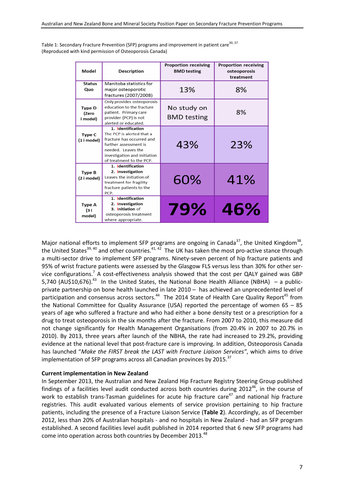| Model                              | <b>Description</b>                                                                                                                                                                     | <b>Proportion receiving</b><br><b>BMD</b> testing | <b>Proportion receiving</b><br>osteoporosis<br>treatment |  |  |
|------------------------------------|----------------------------------------------------------------------------------------------------------------------------------------------------------------------------------------|---------------------------------------------------|----------------------------------------------------------|--|--|
| <b>Status</b><br>Quo               | Manitoba statistics for<br>major osteoporotic<br>fractures (2007/2008)                                                                                                                 | 13%                                               | 8%                                                       |  |  |
| <b>Type D</b><br>(Zero<br>i model) | Only provides osteoporosis<br>education to the fracture<br>patient. Primary care<br>provider (PCP) is not<br>alerted or educated.                                                      | No study on<br><b>BMD</b> testing                 | 8%                                                       |  |  |
| Type C<br>(1 i model)              | 1. Identification<br>The PCP is alerted that a<br>fracture has occurred and<br>further assessment is<br>needed. Leaves the<br>investigation and initiation<br>of treatment to the PCP. | 43%                                               | 23%                                                      |  |  |
| Type B<br>(2 i model)              | 1. Identification<br>2. Investigation<br>Leaves the initiation of<br>treatment for fragility<br>fracture patients to the<br>PCP.                                                       | 60%                                               | 41%                                                      |  |  |
| Type A<br>(3 i<br>model)           | 1. Identification<br>2. Investigation<br>3. Initiation of<br>osteoporosis treatment<br>where appropriate.                                                                              | 79%                                               | 46%                                                      |  |  |

Table 1: Secondary Fracture Prevention (SFP) programs and improvement in patient care<sup>30, 37</sup> (Reproduced with kind permission of Osteoporosis Canada)

Major national efforts to implement SFP programs are ongoing in Canada<sup>37</sup>, the United Kingdom<sup>38</sup>, the United States<sup>39, 40</sup> and other countries.<sup>41, 42</sup> The UK has taken the most pro-active stance through the United States<sup>39, 40</sup> a multi-sector drive to implement SFP programs. Ninety-seven percent of hip fracture patients and 95% of wrist fracture patients were assessed by the Glasgow FLS versus less than 30% for other service configurations.<sup>7</sup> A cost-effectiveness analysis showed that the cost per QALY gained was GBP 5,740 (AU\$10,676).<sup>43</sup> In the United States, the National Bone Health Alliance (NBHA) – a publicprivate partnership on bone health launched in late 2010 – has achieved an unprecedented level of participation and consensus across sectors.<sup>44</sup> The 2014 State of Health Care Quality Report<sup>45</sup> from the National Committee for Quality Assurance (USA) reported the percentage of women 65 – 85 years of age who suffered a fracture and who had either a bone density test or a prescription for a drug to treat osteoporosis in the six months after the fracture. From 2007 to 2010, this measure did not change significantly for Health Management Organisations (from 20.4% in 2007 to 20.7% in 2010). By 2013, three years after launch of the NBHA, the rate had increased to 29.2%, providing evidence at the national level that post-fracture care is improving. In addition, Osteoporosis Canada has launched "*Make the FIRST break the LAST with Fracture Liaison Services"*, which aims to drive implementation of SFP programs across all Canadian provinces by 2015.<sup>37</sup>

#### **Current implementation in New Zealand**

In September 2013, the Australian and New Zealand Hip Fracture Registry Steering Group published findings of a facilities level audit conducted across both countries during  $2012^{46}$ , in the course of work to establish trans-Tasman guidelines for acute hip fracture care<sup>47</sup> and national hip fracture registries. This audit evaluated various elements of service provision pertaining to hip fracture patients, including the presence of a Fracture Liaison Service (**Table 2**). Accordingly, as of December 2012, less than 20% of Australian hospitals - and no hospitals in New Zealand - had an SFP program established. A second facilities level audit published in 2014 reported that 6 new SFP programs had come into operation across both countries by December 2013.<sup>48</sup>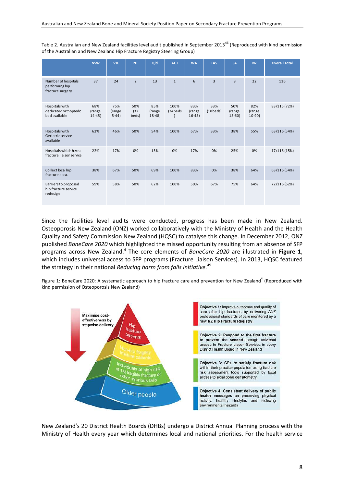Table 2. Australian and New Zealand facilities level audit published in September 2013<sup>46</sup> (Reproduced with kind permission of the Australian and New Zealand Hip Fracture Registry Steering Group)

|                                                            | <b>NSW</b>                | <b>VIC</b>              | <b>NT</b>            | Qld                        | <b>ACT</b>       | <b>WA</b>                 | <b>TAS</b>      | <b>SA</b>                | <b>NZ</b>                 | <b>Overall Total</b> |
|------------------------------------------------------------|---------------------------|-------------------------|----------------------|----------------------------|------------------|---------------------------|-----------------|--------------------------|---------------------------|----------------------|
| Number of hospitals<br>performing hip<br>fracture surgery. | 37                        | 24                      | $\overline{2}$       | 13                         | $\mathbf{1}$     | 6                         | 3               | 8                        | 22                        | 116                  |
| Hospitals with<br>dedicated orthopaedic<br>bed available   | 68%<br>(range<br>$14-45)$ | 75%<br>(range<br>$5-44$ | 50%<br>(32)<br>beds) | 85%<br>(range<br>$18-48$ ) | 100%<br>(34beds) | 83%<br>(range<br>$16-45)$ | 33%<br>(18beds) | 50%<br>(range<br>$15-60$ | 82%<br>(range<br>$10-90)$ | 83/116 (72%)         |
| Hospitals with<br>Geriatricservice<br>available            | 62%                       | 46%                     | 50%                  | 54%                        | 100%             | 67%                       | 33%             | 38%                      | 55%                       | 63/116 (54%)         |
| Hospitals which have a<br>fracture liaison service         | 22%                       | 17%                     | 0%                   | 15%                        | 0%               | 17%                       | 0%              | 25%                      | 0%                        | 17/116 (15%)         |
| Collect local hip<br>fracture data.                        | 38%                       | 67%                     | 50%                  | 69%                        | 100%             | 83%                       | 0%              | 38%                      | 64%                       | 63/116 (54%)         |
| Barriers to proposed<br>hip fracture service<br>redesign   | 59%                       | 58%                     | 50%                  | 62%                        | 100%             | 50%                       | 67%             | 75%                      | 64%                       | 72/116 (62%)         |

Since the facilities level audits were conducted, progress has been made in New Zealand. Osteoporosis New Zealand (ONZ) worked collaboratively with the Ministry of Health and the Health Quality and Safety Commission New Zealand (HQSC) to catalyse this change. In December 2012, ONZ published *BoneCare 2020* which highlighted the missed opportunity resulting from an absence of SFP programs across New Zealand.<sup>4</sup> The core elements of *BoneCare 2020* are illustrated in Figure 1, which includes universal access to SFP programs (Fracture Liaison Services). In 2013, HQSC featured the strategy in their national *Reducing harm from falls initiative.*<sup>49</sup>

Figure 1: BoneCare 2020: A systematic approach to hip fracture care and prevention for New Zealand<sup>4</sup> (Reproduced with kind permission of Osteoporosis New Zealand)



New Zealand's 20 District Health Boards (DHBs) undergo a District Annual Planning process with the Ministry of Health every year which determines local and national priorities. For the health service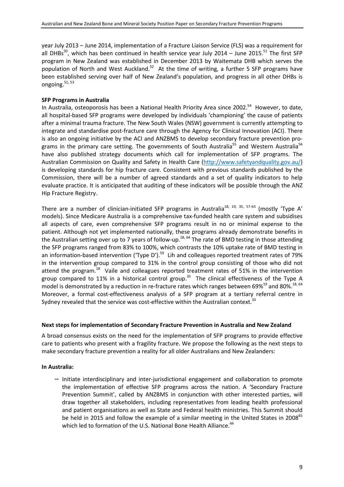year July 2013 – June 2014, implementation of a Fracture Liaison Service (FLS) was a requirement for all DHBs<sup>50</sup>, which has been continued in health service year July 2014 – June 2015.<sup>51</sup> The first SFP program in New Zealand was established in December 2013 by Waitemata DHB which serves the population of North and West Auckland.<sup>52</sup> At the time of writing, a further 5 SFP programs have been established serving over half of New Zealand's population, and progress in all other DHBs is ongoing. $51, 53$ 

### **SFP Programs in Australia**

In Australia, osteoporosis has been a National Health Priority Area since 2002.<sup>54</sup> However, to date, all hospital-based SFP programs were developed by individuals 'championing' the cause of patients after a minimal trauma fracture. The New South Wales (NSW) government is currently attempting to integrate and standardise post-fracture care through the Agency for Clinical Innovation (ACI). There is also an ongoing initiative by the ACI and ANZBMS to develop secondary fracture prevention programs in the primary care setting. The governments of South Australia<sup>55</sup> and Western Australia<sup>56</sup> have also published strategy documents which call for implementation of SFP programs. The Australian Commission on Quality and Safety in Health Care (http://www.safetyandquality.gov.au/) is developing standards for hip fracture care. Consistent with previous standards published by the Commission, there will be a number of agreed standards and a set of quality indicators to help evaluate practice. It is anticipated that auditing of these indicators will be possible through the ANZ Hip Fracture Registry.

There are a number of clinician-initiated SFP programs in Australia<sup>18, 19, 35, 57-63</sup> (mostly 'Type A' models). Since Medicare Australia is a comprehensive tax-funded health care system and subsidises all aspects of care, even comprehensive SFP programs result in no or minimal expense to the patient. Although not yet implemented nationally, these programs already demonstrate benefits in the Australian setting over up to 7 years of follow-up.<sup>18, 64</sup> The rate of BMD testing in those attending the SFP programs ranged from 83% to 100%, which contrasts the 10% uptake rate of BMD testing in an information-based intervention ('Type D').<sup>59</sup> Lih and colleagues reported treatment rates of 79% in the intervention group compared to 31% in the control group consisting of those who did not attend the program.<sup>18</sup> Vaile and colleagues reported treatment rates of 51% in the intervention group compared to 11% in a historical control group.<sup>35</sup> The clinical effectiveness of the Type A model is demonstrated by a reduction in re-fracture rates which ranges between 69%<sup>19</sup> and 80%.<sup>18, 64</sup> Moreover, a formal cost-effectiveness analysis of a SFP program at a tertiary referral centre in Sydney revealed that the service was cost-effective within the Australian context.<sup>33</sup>

### **Next steps for implementation of Secondary Fracture Prevention in Australia and New Zealand**

A broad consensus exists on the need for the implementation of SFP programs to provide effective care to patients who present with a fragility fracture. We propose the following as the next steps to make secondary fracture prevention a reality for all older Australians and New Zealanders:

### **In Australia:**

− Initiate interdisciplinary and inter-jurisdictional engagement and collaboration to promote the implementation of effective SFP programs across the nation. A 'Secondary Fracture Prevention Summit', called by ANZBMS in conjunction with other interested parties, will draw together all stakeholders, including representatives from leading health professional and patient organisations as well as State and Federal health ministries. This Summit should be held in 2015 and follow the example of a similar meeting in the United States in 2008<sup>65</sup> which led to formation of the U.S. National Bone Health Alliance.<sup>44</sup>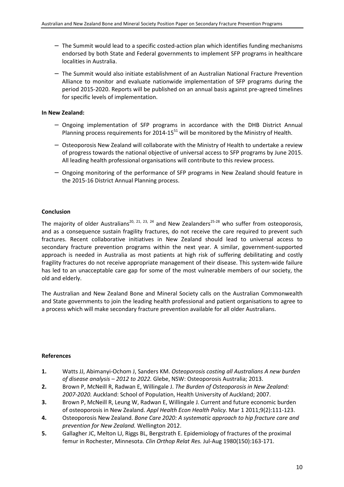- − The Summit would lead to a specific costed-action plan which identifies funding mechanisms endorsed by both State and Federal governments to implement SFP programs in healthcare localities in Australia.
- − The Summit would also initiate establishment of an Australian National Fracture Prevention Alliance to monitor and evaluate nationwide implementation of SFP programs during the period 2015-2020. Reports will be published on an annual basis against pre-agreed timelines for specific levels of implementation.

# **In New Zealand:**

- − Ongoing implementation of SFP programs in accordance with the DHB District Annual Planning process requirements for  $2014-15^{51}$  will be monitored by the Ministry of Health.
- − Osteoporosis New Zealand will collaborate with the Ministry of Health to undertake a review of progress towards the national objective of universal access to SFP programs by June 2015. All leading health professional organisations will contribute to this review process.
- − Ongoing monitoring of the performance of SFP programs in New Zealand should feature in the 2015-16 District Annual Planning process.

# **Conclusion**

The majority of older Australians<sup>20, 21, 23, 24</sup> and New Zealanders<sup>25-28</sup> who suffer from osteoporosis, and as a consequence sustain fragility fractures, do not receive the care required to prevent such fractures. Recent collaborative initiatives in New Zealand should lead to universal access to secondary fracture prevention programs within the next year. A similar, government-supported approach is needed in Australia as most patients at high risk of suffering debilitating and costly fragility fractures do not receive appropriate management of their disease. This system-wide failure has led to an unacceptable care gap for some of the most vulnerable members of our society, the old and elderly.

The Australian and New Zealand Bone and Mineral Society calls on the Australian Commonwealth and State governments to join the leading health professional and patient organisations to agree to a process which will make secondary fracture prevention available for all older Australians.

### **References**

- **1.** Watts JJ, Abimanyi-Ochom J, Sanders KM. *Osteoporosis costing all Australians A new burden of disease analysis – 2012 to 2022.* Glebe, NSW: Osteoporosis Australia; 2013.
- **2.** Brown P, McNeill R, Radwan E, Willingale J. *The Burden of Osteoporosis in New Zealand: 2007-2020.* Auckland: School of Population, Health University of Auckland; 2007.
- **3.** Brown P, McNeill R, Leung W, Radwan E, Willingale J. Current and future economic burden of osteoporosis in New Zealand. *Appl Health Econ Health Policy.* Mar 1 2011;9(2):111-123.
- **4.** Osteoporosis New Zealand. *Bone Care 2020: A systematic approach to hip fracture care and prevention for New Zealand.* Wellington 2012.
- **5.** Gallagher JC, Melton LJ, Riggs BL, Bergstrath E. Epidemiology of fractures of the proximal femur in Rochester, Minnesota. *Clin Orthop Relat Res.* Jul-Aug 1980(150):163-171.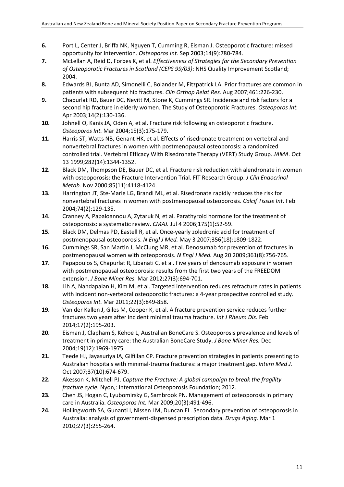- **6.** Port L, Center J, Briffa NK, Nguyen T, Cumming R, Eisman J. Osteoporotic fracture: missed opportunity for intervention. *Osteoporos Int.* Sep 2003;14(9):780-784.
- **7.** McLellan A, Reid D, Forbes K, et al. *Effectiveness of Strategies for the Secondary Prevention of Osteoporotic Fractures in Scotland (CEPS 99/03)*: NHS Quality Improvement Scotland; 2004.
- **8.** Edwards BJ, Bunta AD, Simonelli C, Bolander M, Fitzpatrick LA. Prior fractures are common in patients with subsequent hip fractures. *Clin Orthop Relat Res.* Aug 2007;461:226-230.
- **9.** Chapurlat RD, Bauer DC, Nevitt M, Stone K, Cummings SR. Incidence and risk factors for a second hip fracture in elderly women. The Study of Osteoporotic Fractures. *Osteoporos Int.*  Apr 2003;14(2):130-136.
- **10.** Johnell O, Kanis JA, Oden A, et al. Fracture risk following an osteoporotic fracture. *Osteoporos Int.* Mar 2004;15(3):175-179.
- **11.** Harris ST, Watts NB, Genant HK, et al. Effects of risedronate treatment on vertebral and nonvertebral fractures in women with postmenopausal osteoporosis: a randomized controlled trial. Vertebral Efficacy With Risedronate Therapy (VERT) Study Group. *JAMA.* Oct 13 1999;282(14):1344-1352.
- **12.** Black DM, Thompson DE, Bauer DC, et al. Fracture risk reduction with alendronate in women with osteoporosis: the Fracture Intervention Trial. FIT Research Group. *J Clin Endocrinol Metab.* Nov 2000;85(11):4118-4124.
- **13.** Harrington JT, Ste-Marie LG, Brandi ML, et al. Risedronate rapidly reduces the risk for nonvertebral fractures in women with postmenopausal osteoporosis. *Calcif Tissue Int.* Feb 2004;74(2):129-135.
- **14.** Cranney A, Papaioannou A, Zytaruk N, et al. Parathyroid hormone for the treatment of osteoporosis: a systematic review. *CMAJ.* Jul 4 2006;175(1):52-59.
- **15.** Black DM, Delmas PD, Eastell R, et al. Once-yearly zoledronic acid for treatment of postmenopausal osteoporosis. *N Engl J Med.* May 3 2007;356(18):1809-1822.
- **16.** Cummings SR, San Martin J, McClung MR, et al. Denosumab for prevention of fractures in postmenopausal women with osteoporosis. *N Engl J Med.* Aug 20 2009;361(8):756-765.
- **17.** Papapoulos S, Chapurlat R, Libanati C, et al. Five years of denosumab exposure in women with postmenopausal osteoporosis: results from the first two years of the FREEDOM extension. *J Bone Miner Res.* Mar 2012;27(3):694-701.
- **18.** Lih A, Nandapalan H, Kim M, et al. Targeted intervention reduces refracture rates in patients with incident non-vertebral osteoporotic fractures: a 4-year prospective controlled study. *Osteoporos Int.* Mar 2011;22(3):849-858.
- **19.** Van der Kallen J, Giles M, Cooper K, et al. A fracture prevention service reduces further fractures two years after incident minimal trauma fracture. *Int J Rheum Dis.* Feb 2014;17(2):195-203.
- **20.** Eisman J, Clapham S, Kehoe L, Australian BoneCare S. Osteoporosis prevalence and levels of treatment in primary care: the Australian BoneCare Study. *J Bone Miner Res.* Dec 2004;19(12):1969-1975.
- **21.** Teede HJ, Jayasuriya IA, Gilfillan CP. Fracture prevention strategies in patients presenting to Australian hospitals with minimal-trauma fractures: a major treatment gap. *Intern Med J.*  Oct 2007;37(10):674-679.
- **22.** Akesson K, Mitchell PJ. *Capture the Fracture: A global campaign to break the fragility fracture cycle.* Nyon,: International Osteoporosis Foundation; 2012.
- **23.** Chen JS, Hogan C, Lyubomirsky G, Sambrook PN. Management of osteoporosis in primary care in Australia. *Osteoporos Int.* Mar 2009;20(3):491-496.
- **24.** Hollingworth SA, Gunanti I, Nissen LM, Duncan EL. Secondary prevention of osteoporosis in Australia: analysis of government-dispensed prescription data. *Drugs Aging.* Mar 1 2010;27(3):255-264.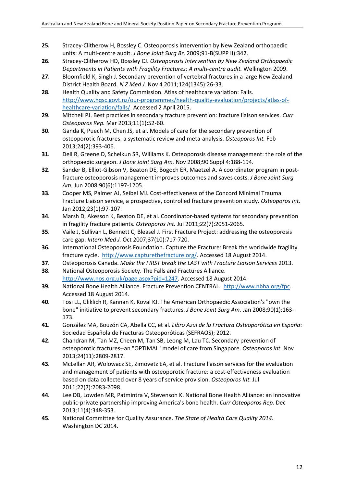- **25.** Stracey-Clitherow H, Bossley C. Osteoporosis intervention by New Zealand orthopaedic units: A multi-centre audit. *J Bone Joint Surg Br.* 2009;91-B(SUPP II):342.
- **26.** Stracey-Clitherow HD, Bossley CJ. *Osteoporosis Intervention by New Zealand Orthopaedic Departments in Patients with Fragility Fractures: A multi-centre audit.* Wellington 2009.
- **27.** Bloomfield K, Singh J. Secondary prevention of vertebral fractures in a large New Zealand District Health Board. *N Z Med J.* Nov 4 2011;124(1345):26-33.
- **28.** Health Quality and Safety Commission. Atlas of healthcare variation: Falls. http://www.hqsc.govt.nz/our-programmes/health-quality-evaluation/projects/atlas-ofhealthcare-variation/falls/. Accessed 2 April 2015.
- **29.** Mitchell PJ. Best practices in secondary fracture prevention: fracture liaison services. *Curr Osteoporos Rep.* Mar 2013;11(1):52-60.
- **30.** Ganda K, Puech M, Chen JS, et al. Models of care for the secondary prevention of osteoporotic fractures: a systematic review and meta-analysis. *Osteoporos Int.* Feb 2013;24(2):393-406.
- **31.** Dell R, Greene D, Schelkun SR, Williams K. Osteoporosis disease management: the role of the orthopaedic surgeon. *J Bone Joint Surg Am.* Nov 2008;90 Suppl 4:188-194.
- **32.** Sander B, Elliot-Gibson V, Beaton DE, Bogoch ER, Maetzel A. A coordinator program in postfracture osteoporosis management improves outcomes and saves costs. *J Bone Joint Surg Am.* Jun 2008;90(6):1197-1205.
- **33.** Cooper MS, Palmer AJ, Seibel MJ. Cost-effectiveness of the Concord Minimal Trauma Fracture Liaison service, a prospective, controlled fracture prevention study. *Osteoporos Int.*  Jan 2012;23(1):97-107.
- **34.** Marsh D, Akesson K, Beaton DE, et al. Coordinator-based systems for secondary prevention in fragility fracture patients. *Osteoporos Int.* Jul 2011;22(7):2051-2065.
- **35.** Vaile J, Sullivan L, Bennett C, Bleasel J. First Fracture Project: addressing the osteoporosis care gap. *Intern Med J.* Oct 2007;37(10):717-720.
- **36.** International Osteoporosis Foundation. Capture the Fracture: Break the worldwide fragility fracture cycle. http://www.capturethefracture.org/. Accessed 18 August 2014.
- **37.** Osteoporosis Canada. *Make the FIRST break the LAST with Fracture Liaison Services* 2013.
- **38.** National Osteoporosis Society. The Falls and Fractures Alliance. http://www.nos.org.uk/page.aspx?pid=1247. Accessed 18 August 2014.
- **39.** National Bone Health Alliance. Fracture Prevention CENTRAL. http://www.nbha.org/fpc. Accessed 18 August 2014.
- **40.** Tosi LL, Gliklich R, Kannan K, Koval KJ. The American Orthopaedic Association's "own the bone" initiative to prevent secondary fractures. *J Bone Joint Surg Am.* Jan 2008;90(1):163- 173.
- **41.** González MA, Bouzón CA, Abella CC, et al. *Libro Azul de la Fractura Osteoporótica en España*: Sociedad Española de Fracturas Osteoporóticas (SEFRAOS); 2012.
- **42.** Chandran M, Tan MZ, Cheen M, Tan SB, Leong M, Lau TC. Secondary prevention of osteoporotic fractures--an "OPTIMAL" model of care from Singapore. *Osteoporos Int.* Nov 2013;24(11):2809-2817.
- **43.** McLellan AR, Wolowacz SE, Zimovetz EA, et al. Fracture liaison services for the evaluation and management of patients with osteoporotic fracture: a cost-effectiveness evaluation based on data collected over 8 years of service provision. *Osteoporos Int.* Jul 2011;22(7):2083-2098.
- **44.** Lee DB, Lowden MR, Patmintra V, Stevenson K. National Bone Health Alliance: an innovative public-private partnership improving America's bone health. *Curr Osteoporos Rep.* Dec 2013;11(4):348-353.
- **45.** National Committee for Quality Assurance. *The State of Health Care Quality 2014.* Washington DC 2014.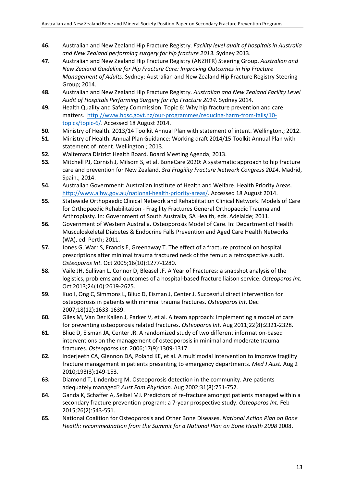- **46.** Australian and New Zealand Hip Fracture Registry. *Facility level audit of hospitals in Australia and New Zealand performing surgery for hip fracture 2013.* Sydney 2013.
- **47.** Australian and New Zealand Hip Fracture Registry (ANZHFR) Steering Group. *Australian and New Zealand Guideline for Hip Fracture Care: Improving Outcomes in Hip Fracture Management of Adults.* Sydney: Australian and New Zealand Hip Fracture Registry Steering Group; 2014.
- **48.** Australian and New Zealand Hip Fracture Registry. *Australian and New Zealand Facility Level Audit of Hospitals Performing Surgery for Hip Fracture 2014.* Sydney 2014.
- **49.** Health Quality and Safety Commission. Topic 6: Why hip fracture prevention and care matters. http://www.hqsc.govt.nz/our-programmes/reducing-harm-from-falls/10 topics/topic-6/. Accessed 18 August 2014.
- **50.** Ministry of Health. 2013/14 Toolkit Annual Plan with statement of intent. Wellington.; 2012.
- **51.** Ministry of Health. Annual Plan Guidance: Working draft 2014/15 Toolkit Annual Plan with statement of intent. Wellington.; 2013.
- **52.** Waitemata District Health Board. Board Meeting Agenda; 2013.
- **53.** Mitchell PJ, Cornish J, Milsom S, et al. BoneCare 2020: A systematic approach to hip fracture care and prevention for New Zealand. *3rd Fragility Fracture Network Congress 2014*. Madrid, Spain.; 2014.
- **54.** Australian Government: Australian Institute of Health and Welfare. Health Priority Areas. http://www.aihw.gov.au/national-health-priority-areas/. Accessed 18 August 2014.
- **55.** Statewide Orthopaedic Clinical Network and Rehabilitation Clinical Network. Models of Care for Orthopaedic Rehabilitation - Fragility Fractures General Orthopaedic Trauma and Arthroplasty. In: Government of South Australia, SA Health, eds. Adelaide; 2011.
- **56.** Government of Western Australia. Osteoporosis Model of Care. In: Department of Health Musculoskeletal Diabetes & Endocrine Falls Prevention and Aged Care Health Networks (WA), ed. Perth; 2011.
- **57.** Jones G, Warr S, Francis E, Greenaway T. The effect of a fracture protocol on hospital prescriptions after minimal trauma fractured neck of the femur: a retrospective audit. *Osteoporos Int.* Oct 2005;16(10):1277-1280.
- **58.** Vaile JH, Sullivan L, Connor D, Bleasel JF. A Year of Fractures: a snapshot analysis of the logistics, problems and outcomes of a hospital-based fracture liaison service. *Osteoporos Int.*  Oct 2013;24(10):2619-2625.
- **59.** Kuo I, Ong C, Simmons L, Bliuc D, Eisman J, Center J. Successful direct intervention for osteoporosis in patients with minimal trauma fractures. *Osteoporos Int.* Dec 2007;18(12):1633-1639.
- **60.** Giles M, Van Der Kallen J, Parker V, et al. A team approach: implementing a model of care for preventing osteoporosis related fractures. *Osteoporos Int.* Aug 2011;22(8):2321-2328.
- **61.** Bliuc D, Eisman JA, Center JR. A randomized study of two different information-based interventions on the management of osteoporosis in minimal and moderate trauma fractures. *Osteoporos Int.* 2006;17(9):1309-1317.
- **62.** Inderjeeth CA, Glennon DA, Poland KE, et al. A multimodal intervention to improve fragility fracture management in patients presenting to emergency departments. *Med J Aust.* Aug 2 2010;193(3):149-153.
- **63.** Diamond T, Lindenberg M. Osteoporosis detection in the community. Are patients adequately managed? *Aust Fam Physician.* Aug 2002;31(8):751-752.
- **64.** Ganda K, Schaffer A, Seibel MJ. Predictors of re-fracture amongst patients managed within a secondary fracture prevention program: a 7-year prospective study. *Osteoporos Int.* Feb 2015;26(2):543-551.
- **65.** National Coalition for Osteoporosis and Other Bone Diseases. *National Action Plan on Bone Health: recommednation from the Summit for a National Plan on Bone Health 2008* 2008.